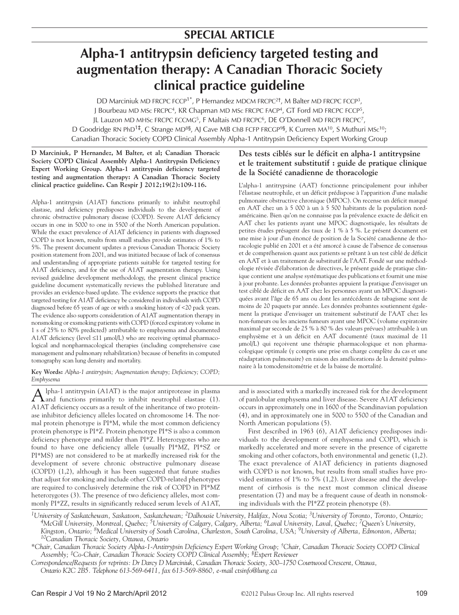# **Alpha-1 antitrypsin deficiency targeted testing and augmentation therapy: A Canadian Thoracic Society clinical practice guideline**

DD Marciniuk MD FRCPC FCCP<sup>1\*</sup>, P Hernandez MDCM FRCPC<sup>2†</sup>, M Balter MD FRCPC FCCP<sup>3</sup>, J Bourbeau MD MSc FRCPC<sup>4</sup>, KR Chapman MD MSc FRCPC FACP<sup>4</sup>, GT Ford MD FRCPC FCCP<sup>5</sup>, JL Lauzon MD MHSc FRCPC FCCMG<sup>5</sup>, F Maltais MD FRCPC<sup>6</sup>, DE O'Donnell MD FRCPI FRCPC<sup>7</sup>, D Goodridge RN PhD<sup>1‡</sup>, C Strange MD<sup>8§</sup>, AJ Cave MB ChB FCFP FRCGP<sup>9§</sup>, K Curren MA<sup>10</sup>, S Muthuri MSc<sup>10</sup>; Canadian Thoracic Society COPD Clinical Assembly Alpha-1 Antitrypsin Deficiency Expert Working Group

# **D Marciniuk, P Hernandez, M Balter, et al; Canadian Thoracic Society COPD Clinical Assembly Alpha-1 Antitrypsin Deficiency Expert Working Group. Alpha-1 antitrypsin deficiency targeted testing and augmentation therapy: A Canadian Thoracic Society clinical practice guideline. Can Respir J 2012;19(2):109-116.**

Alpha-1 antitrypsin (A1AT) functions primarily to inhibit neutrophil elastase, and deficiency predisposes individuals to the development of chronic obstructive pulmonary disease (COPD). Severe A1AT deficiency occurs in one in 5000 to one in 5500 of the North American population. While the exact prevalence of A1AT deficiency in patients with diagnosed COPD is not known, results from small studies provide estimates of 1% to 5%. The present document updates a previous Canadian Thoracic Society position statement from 2001, and was initiated because of lack of consensus and understanding of appropriate patients suitable for targeted testing for A1AT deficiency, and for the use of A1AT augmentation therapy. Using revised guideline development methodology, the present clinical practice guideline document systematically reviews the published literature and provides an evidence-based update. The evidence supports the practice that targeted testing for A1AT deficiency be considered in individuals with COPD diagnosed before 65 years of age or with a smoking history of <20 pack years. The evidence also supports consideration of A1AT augmentation therapy in nonsmoking or exsmoking patients with COPD (forced expiratory volume in 1 s of 25% to 80% predicted) attributable to emphysema and documented A1AT deficiency (level ≤11 µmol/L) who are receiving optimal pharmacological and nonpharmacological therapies (including comprehensive case management and pulmonary rehabilitation) because of benefits in computed tomography scan lung density and mortality.

**Key Words:** *Alpha-1 antitrypsin; Augmentation therapy; Deficiency; COPD; Emphysema*

Alpha-1 antitrypsin (A1AT) is the major antiprotease in plasma<br>A and functions primarily to inhibit neutrophil elastase (1). A1AT deficiency occurs as a result of the inheritance of two proteinase inhibitor deficiency alleles located on chromosome 14. The normal protein phenotype is PI\*M, while the most common deficiency protein phenotype is PI\*Z. Protein phenotype PI\*S is also a common deficiency phenotype and milder than PI\*Z. Heterozygotes who are found to have one deficiency allele (usually PI\*MZ, PI\*SZ or PI\*MS) are not considered to be at markedly increased risk for the development of severe chronic obstructive pulmonary disease (COPD) (1,2), although it has been suggested that future studies that adjust for smoking and include other COPD-related phenotypes are required to conclusively determine the risk of COPD in PI\*MZ

heterozygotes (3). The presence of two deficiency alleles, most commonly PI\*ZZ, results in significantly reduced serum levels of A1AT,

# **Des tests ciblés sur le déficit en alpha-1 antitrypsine et le traitement substitutif : guide de pratique clinique de la Société canadienne de thoracologie**

L'alpha-1 antitrypsine (AAT) fonctionne principalement pour inhiber l'élastase neutrophile, et un déficit prédispose à l'apparition d'une maladie pulmonaire obstructive chronique (MPOC). On recense un déficit marqué en AAT chez un à 5 000 à un à 5 500 habitants de la population nordaméricaine. Bien qu'on ne connaisse pas la prévalence exacte de déficit en AAT chez les patients ayant une MPOC diagnostiquée, les résultats de petites études présagent des taux de 1 % à 5 %. Le présent document est une mise à jour d'un énoncé de position de la Société canadienne de thoracologie publié en 2001 et a été amorcé à cause de l'absence de consensus et de compréhension quant aux patients se prêtant à un test ciblé de déficit en AAT et à un traitement de substitutif de l'AAT. Fondé sur une méthodologie révisée d'élaboration de directives, le présent guide de pratique clinique contient une analyse systématique des publications et fournit une mise à jour probante. Les données probantes appuient la pratique d'envisager un test ciblé de déficit en AAT chez les personnes ayant un MPOC diagnostiquées avant l'âge de 65 ans ou dont les antécédents de tabagisme sont de moins de 20 paquets par année. Les données probantes soutiennent également la pratique d'envisager un traitement substitutif de l'AAT chez les non-fumeurs ou les anciens fumeurs ayant une MPOC (volume expiratoire maximal par seconde de 25 % à 80 % des valeurs prévues) attribuable à un emphysème et à un déficit en AAT documenté (taux maximal de 11 µmol/L) qui reçoivent une thérapie pharmacologique et non pharmacologique optimale (y compris une prise en charge complète du cas et une réadaptation pulmonaire) en raison des améliorations de la densité pulmonaire à la tomodensitométrie et de la baisse de mortalité.

and is associated with a markedly increased risk for the development of panlobular emphysema and liver disease. Severe A1AT deficiency occurs in approximately one in 1600 of the Scandinavian population (4), and in approximately one in 5000 to 5500 of the Canadian and North American populations (5).

First described in 1963 (6), A1AT deficiency predisposes individuals to the development of emphysema and COPD, which is markedly accelerated and more severe in the presence of cigarette smoking and other cofactors, both environmental and genetic (1,2). The exact prevalence of A1AT deficiency in patients diagnosed with COPD is not known, but results from small studies have provided estimates of 1% to 5% (1,2). Liver disease and the development of cirrhosis is the next most common clinical disease presentation (7) and may be a frequent cause of death in nonsmoking individuals with the PI\*ZZ protein phenotype (8).

*1University of Saskatchewan, Saskatoon, Saskatchewan; 2Dalhousie University, Halifax, Nova Scotia; 3University of Toronto, Toronto, Ontario; 4McGill University, Montreal, Quebec; 5University of Calgary, Calgary, Alberta; 6Laval University, Laval, Quebec; 7Queen's University, Kingston, Ontario; 8Medical University of South Carolina, Charleston, South Carolina, USA; 9University of Alberta, Edmonton, Alberta; 10Canadian Thoracic Society, Ottawa, Ontario*

*\*Chair, Canadian Thoracic Society Alpha-1-Antitrypsin Deficiency Expert Working Group; †Chair, Canadian Thoracic Society COPD Clinical Assembly; ‡Co-Chair, Canadian Thoracic Society COPD Clinical Assembly; §Expert Reviewer*

*Correspondence/Requests for reprints: Dr Darcy D Marciniuk, Canadian Thoracic Society, 300*–*1750 Courtwood Crescent, Ottawa, Ontario K2C 2B5. Telephone 613-569-6411, fax 613-569-8860, e-mail ctsinfo@lung.ca*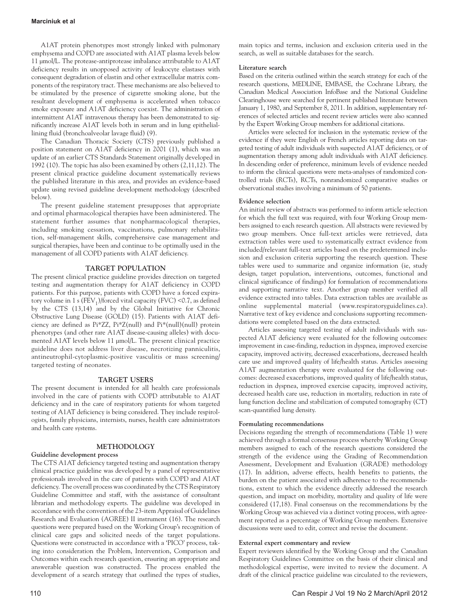A1AT protein phenotypes most strongly linked with pulmonary emphysema and COPD are associated with A1AT plasma levels below 11 µmol/L. The protease-antiprotease imbalance attributable to A1AT deficiency results in unopposed activity of leukocyte elastases with consequent degradation of elastin and other extracellular matrix components of the respiratory tract. These mechanisms are also believed to be stimulated by the presence of cigarette smoking alone, but the resultant development of emphysema is accelerated when tobacco smoke exposure and A1AT deficiency coexist. The administration of intermittent A1AT intravenous therapy has been demonstrated to significantly increase A1AT levels both in serum and in lung epitheliallining fluid (bronchoalveolar lavage fluid) (9).

The Canadian Thoracic Society (CTS) previously published a position statement on A1AT deficiency in 2001 (1), which was an update of an earlier CTS Standards Statement originally developed in 1992 (10). The topic has also been examined by others (2,11,12). The present clinical practice guideline document systematically reviews the published literature in this area, and provides an evidence-based update using revised guideline development methodology (described below).

The present guideline statement presupposes that appropriate and optimal pharmacological therapies have been administered. The statement further assumes that nonpharmacological therapies, including smoking cessation, vaccinations, pulmonary rehabilitation, self-management skills, comprehensive case management and surgical therapies, have been and continue to be optimally used in the management of all COPD patients with A1AT deficiency.

# **TARGET POPULATION**

The present clinical practice guideline provides direction on targeted testing and augmentation therapy for A1AT deficiency in COPD patients. For this purpose, patients with COPD have a forced expiratory volume in 1 s ( $FEV<sub>1</sub>$ )/forced vital capacity ( $FVC$ ) <0.7, as defined by the CTS (13,14) and by the Global Initiative for Chronic Obstructive Lung Disease (GOLD) (15). Patients with A1AT deficiency are defined as Pi\*ZZ, Pi\*Z(null) and Pi\*(null)(null) protein phenotypes (and other rare A1AT disease-causing alleles) with documented A1AT levels below 11 µmol/L. The present clinical practice guideline does not address liver disease, necrotizing panniculitis, antineutrophil-cytoplasmic-positive vasculitis or mass screening/ targeted testing of neonates.

# **TARGET USERS**

The present document is intended for all health care professionals involved in the care of patients with COPD attributable to A1AT deficiency and in the care of respiratory patients for whom targeted testing of A1AT deficiency is being considered. They include respirologists, family physicians, internists, nurses, health care administrators and health care systems.

# **METHODOLOGY**

# **Guideline development process**

The CTS A1AT deficiency targeted testing and augmentation therapy clinical practice guideline was developed by a panel of representative professionals involved in the care of patients with COPD and A1AT deficiency. The overall process was coordinated by the CTS Respiratory Guideline Committee and staff, with the assistance of consultant librarian and methodology experts. The guideline was developed in accordance with the convention of the 23-item Appraisal of Guidelines Research and Evaluation (AGREE) II instrument (16). The research questions were prepared based on the Working Group's recognition of clinical care gaps and solicited needs of the target populations. Questions were constructed in accordance with a 'PICO' process, taking into consideration the Problem, Intervention, Comparison and Outcomes within each research question, ensuring an appropriate and answerable question was constructed. The process enabled the development of a search strategy that outlined the types of studies, main topics and terms, inclusion and exclusion criteria used in the search, as well as suitable databases for the search.

# **Literature search**

Based on the criteria outlined within the search strategy for each of the research questions, MEDLINE, EMBASE, the Cochrane Library, the Canadian Medical Association InfoBase and the National Guideline Clearinghouse were searched for pertinent published literature between January 1, 1980, and September 8, 2011. In addition, supplementary references of selected articles and recent review articles were also scanned by the Expert Working Group members for additional citations.

Articles were selected for inclusion in the systematic review of the evidence if they were English or French articles reporting data on targeted testing of adult individuals with suspected A1AT deficiency, or of augmentation therapy among adult individuals with A1AT deficiency. In descending order of preference, minimum levels of evidence needed to inform the clinical questions were meta-analyses of randomized controlled trials (RCTs), RCTs, nonrandomized comparative studies or observational studies involving a minimum of 50 patients.

# **Evidence selection**

An initial review of abstracts was performed to inform article selection for which the full text was required, with four Working Group members assigned to each research question. All abstracts were reviewed by two group members. Once full-text articles were retrieved, data extraction tables were used to systematically extract evidence from included/relevant full-text articles based on the predetermined inclusion and exclusion criteria supporting the research question. These tables were used to summarize and organize information (ie, study design, target population, interventions, outcomes, functional and clinical significance of findings) for formulation of recommendations and supporting narrative text. Another group member verified all evidence extracted into tables. Data extraction tables are available as online supplemental material (www.respiratoryguidelines.ca). Narrative text of key evidence and conclusions supporting recommendations were completed based on the data extracted.

Articles assessing targeted testing of adult individuals with suspected A1AT deficiency were evaluated for the following outcomes: improvement in case-finding, reduction in dyspnea, improved exercise capacity, improved activity, decreased exacerbations, decreased health care use and improved quality of life/health status. Articles assessing A1AT augmentation therapy were evaluated for the following outcomes: decreased exacerbations, improved quality of life/health status, reduction in dyspnea, improved exercise capacity, improved activity, decreased health care use, reduction in mortality, reduction in rate of lung function decline and stabilization of computed tomography (CT) scan-quantified lung density.

# **Formulating recommendations**

Decisions regarding the strength of recommendations (Table 1) were achieved through a formal consensus process whereby Working Group members assigned to each of the research questions considered the strength of the evidence using the Grading of Recommendation Assessment, Development and Evaluation (GRADE) methodology (17). In addition, adverse effects, health benefits to patients, the burden on the patient associated with adherence to the recommendations, extent to which the evidence directly addressed the research question, and impact on morbidity, mortality and quality of life were considered (17,18). Final consensus on the recommendations by the Working Group was achieved via a distinct voting process, with agreement reported as a percentage of Working Group members. Extensive discussions were used to edit, correct and revise the document.

# **External expert commentary and review**

Expert reviewers identified by the Working Group and the Canadian Respiratory Guidelines Committee on the basis of their clinical and methodological expertise, were invited to review the document. A draft of the clinical practice guideline was circulated to the reviewers,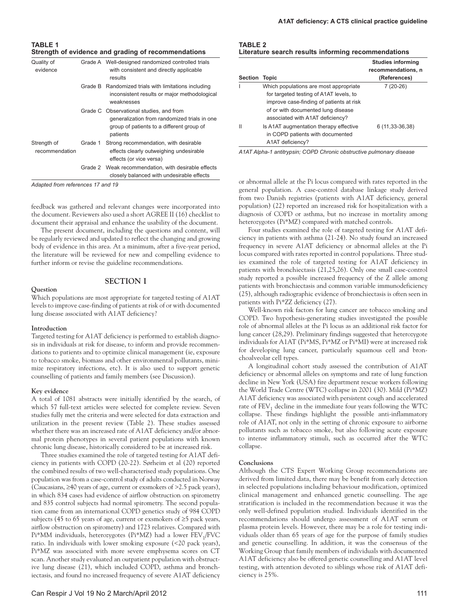**TABLE 1 Strength of evidence and grading of recommendations**

| Quality of<br>evidence        |         | Grade A Well-designed randomized controlled trials<br>with consistent and directly applicable<br>results                                         |
|-------------------------------|---------|--------------------------------------------------------------------------------------------------------------------------------------------------|
|                               |         | Grade B Randomized trials with limitations including<br>inconsistent results or major methodological<br>weaknesses                               |
|                               |         | Grade C Observational studies, and from<br>generalization from randomized trials in one<br>group of patients to a different group of<br>patients |
| Strength of<br>recommendation | Grade 1 | Strong recommendation, with desirable<br>effects clearly outweighing undesirable<br>effects (or vice versa)                                      |
|                               |         | Grade 2 Weak recommendation, with desirable effects<br>closely balanced with undesirable effects                                                 |

*Adapted from references 17 and 19*

feedback was gathered and relevant changes were incorporated into the document. Reviewers also used a short AGREE II (16) checklist to document their appraisal and enhance the usability of the document.

The present document, including the questions and content, will be regularly reviewed and updated to reflect the changing and growing body of evidence in this area. At a minimum, after a five-year period, the literature will be reviewed for new and compelling evidence to further inform or revise the guideline recommendations.

# **SECTION I**

Which populations are most appropriate for targeted testing of A1AT levels to improve case-finding of patients at risk of or with documented lung disease associated with A1AT deficiency?

#### **Introduction**

**Question**

Targeted testing for A1AT deficiency is performed to establish diagnosis in individuals at risk for disease, to inform and provide recommendations to patients and to optimize clinical management (ie, exposure to tobacco smoke, biomass and other environmental pollutants, minimize respiratory infections, etc). It is also used to support genetic counselling of patients and family members (see Discussion).

## **Key evidence**

A total of 1081 abstracts were initially identified by the search, of which 57 full-text articles were selected for complete review. Seven studies fully met the criteria and were selected for data extraction and utilization in the present review (Table 2). These studies assessed whether there was an increased rate of A1AT deficiency and/or abnormal protein phenotypes in several patient populations with known chronic lung disease, historically considered to be at increased risk.

Three studies examined the role of targeted testing for A1AT deficiency in patients with COPD (20-22). Sørheim et al (20) reported the combined results of two well-characterised study populations. One population was from a case-control study of adults conducted in Norway (Caucasians, ≥40 years of age, current or exsmokers of >2.5 pack years), in which 834 cases had evidence of airflow obstruction on spirometry and 835 control subjects had normal spirometry. The second population came from an international COPD genetics study of 984 COPD subjects (45 to 65 years of age, current or exsmokers of ≥5 pack years, airflow obstruction on spirometry) and 1723 relatives. Compared with Pi\*MM individuals, heterozygotes (Pi\*MZ) had a lower FEV<sub>1</sub>/FVC ratio. In individuals with lower smoking exposure (<20 pack years), Pi\*MZ was associated with more severe emphysema scores on CT scan. Another study evaluated an outpatient population with obstructive lung disease (21), which included COPD, asthma and bronchiectasis, and found no increased frequency of severe A1AT deficiency

#### **TABLE 2 Literature search results informing recommendations**

|         |                                                                                                                                                                                                         | <b>Studies informing</b><br>recommendations, n |
|---------|---------------------------------------------------------------------------------------------------------------------------------------------------------------------------------------------------------|------------------------------------------------|
| Section | Topic                                                                                                                                                                                                   | (References)                                   |
|         | Which populations are most appropriate<br>for targeted testing of A1AT levels, to<br>improve case-finding of patients at risk<br>of or with documented lung disease<br>associated with A1AT deficiency? | 7 (20-26)                                      |
| н       | Is A1AT augmentation therapy effective<br>in COPD patients with documented<br>A1AT deficiency?                                                                                                          | 6 (11,33-36,38)                                |

*A1AT Alpha-1 antitrypsin; COPD Chronic obstructive pulmonary disease*

or abnormal allele at the Pi locus compared with rates reported in the general population. A case-control database linkage study derived from two Danish registries (patients with A1AT deficiency, general population) (22) reported an increased risk for hospitalization with a diagnosis of COPD or asthma, but no increase in mortality among heterozygotes (Pi\*MZ) compared with matched controls.

Four studies examined the role of targeted testing for A1AT deficiency in patients with asthma (21-24). No study found an increased frequency in severe A1AT deficiency or abnormal alleles at the Pi locus compared with rates reported in control populations. Three studies examined the role of targeted testing for A1AT deficiency in patients with bronchiectasis (21,25,26). Only one small case-control study reported a possible increased frequency of the Z allele among patients with bronchiectasis and common variable immunodeficiency (25), although radiographic evidence of bronchiectasis is often seen in patients with Pi\*ZZ deficiency (27).

Well-known risk factors for lung cancer are tobacco smoking and COPD. Two hypothesis-generating studies investigated the possible role of abnormal alleles at the Pi locus as an additional risk factor for lung cancer (28,29). Preliminary findings suggested that heterozygote individuals for A1AT (Pi\*MS, Pi\*MZ or Pi\*MI) were at increased risk for developing lung cancer, particularly squamous cell and bronchoalveolar cell types.

A longitudinal cohort study assessed the contribution of A1AT deficiency or abnormal alleles on symptoms and rate of lung function decline in New York (USA) fire department rescue workers following the World Trade Centre (WTC) collapse in 2001 (30). Mild (Pi\*MZ) A1AT deficiency was associated with persistent cough and accelerated rate of  $FEV<sub>1</sub>$  decline in the immediate four years following the WTC collapse. These findings highlight the possible anti-inflammatory role of A1AT, not only in the setting of chronic exposure to airborne pollutants such as tobacco smoke, but also following acute exposure to intense inflammatory stimuli, such as occurred after the WTC collapse.

## **Conclusions**

Although the CTS Expert Working Group recommendations are derived from limited data, there may be benefit from early detection in selected populations including behaviour modification, optimized clinical management and enhanced genetic counselling. The age stratification is included in the recommendation because it was the only well-defined population studied. Individuals identified in the recommendations should undergo assessment of A1AT serum or plasma protein levels. However, there may be a role for testing individuals older than 65 years of age for the purpose of family studies and genetic counselling. In addition, it was the consensus of the Working Group that family members of individuals with documented A1AT deficiency also be offered genetic counselling and A1AT level testing, with attention devoted to siblings whose risk of A1AT deficiency is 25%.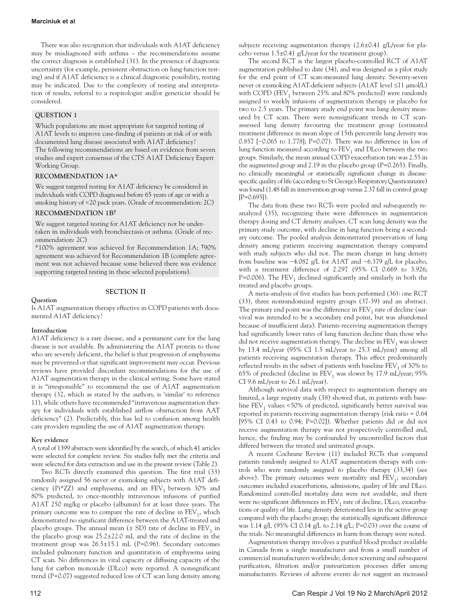There was also recognition that individuals with A1AT deficiency may be misdiagnosed with asthma – the recommendations assume the correct diagnosis is established (31). In the presence of diagnostic uncertainty (for example, persistent obstruction on lung function testing) and if A1AT deficiency is a clinical diagnostic possibility, testing may be indicated. Due to the complexity of testing and interpretation of results, referral to a respirologist and/or geneticist should be considered.

# **QUESTION 1**

Which populations are most appropriate for targeted testing of A1AT levels to improve case-finding of patients at risk of or with documented lung disease associated with A1AT deficiency? The following recommendations are based on evidence from seven studies and expert consensus of the CTS A1AT Deficiency Expert Working Group.

# **RECOMMENDATION 1A\***

We suggest targeted testing for A1AT deficiency be considered in individuals with COPD diagnosed before 65 years of age or with a smoking history of <20 pack years. (Grade of recommendation: 2C)

# **RECOMMENDATION 1B**†

We suggest targeted testing for A1AT deficiency not be undertaken in individuals with bronchiectasis or asthma. (Grade of recommendation: 2C)

\*100% agreement was achieved for Recommendation 1A; †90% agreement was achieved for Recommendation 1B (complete agreement was not achieved because some believed there was evidence supporting targeted testing in these selected populations).

# **SECTION II**

# **Question**

Is A1AT augmentation therapy effective in COPD patients with documented A1AT deficiency?

# **Introduction**

A1AT deficiency is a rare disease, and a permanent cure for the lung disease is not available. By administering the A1AT protein to those who are severely deficient, the belief is that progression of emphysema may be prevented or that significant improvement may occur. Previous reviews have provided discordant recommendations for the use of A1AT augmentation therapy in the clinical setting. Some have stated it is "irresponsible" to recommend the use of A1AT augmentation therapy (32, which as stated by the authors, is 'similar' to reference 11), while others have recommended "intravenous augmentation therapy for individuals with established airflow obstruction from AAT deficiency" (2). Predictably, this has led to confusion among health care providers regarding the use of A1AT augmentation therapy.

# **Key evidence**

A total of 1399 abstracts were identified by the search, of which 41 articles were selected for complete review. Six studies fully met the criteria and were selected for data extraction and use in the present review (Table 2).

Two RCTs directly examined this question. The first trial (33) randomly assigned 56 never or exsmoking subjects with A1AT deficiency (Pi\*ZZ) and emphysema, and an  $FEV<sub>1</sub>$  between 30% and 80% predicted, to once-monthly intravenous infusions of purified A1AT 250 mg/kg or placebo (albumin) for at least three years. The primary outcome was to compare the rate of decline in  $FEV<sub>1</sub>$ , which demonstrated no significant difference between the A1AT-treated and placebo groups. The annual mean  $(\pm SD)$  rate of decline in  $FEV<sub>1</sub>$  in the placebo group was 25.2±22.0 mL and the rate of decline in the treatment group was 26.5±15.1 mL (P=0.96). Secondary outcomes included pulmonary function and quantitation of emphysema using CT scan. No differences in vital capacity or diffusing capacity of the lung for carbon monoxide (DLco) were reported. A nonsignificant trend (P=0.07) suggested reduced loss of CT scan lung density among subjects receiving augmentation therapy (2.6±0.41 g/L/year for placebo versus  $1.5\pm0.41$  g/L/year for the treatment group).

The second RCT is the largest placebo-controlled RCT of A1AT augmentation published to date (34), and was designed as a pilot study for the end point of CT scan-measured lung density. Seventy-seven never or exsmoking A1AT-deficient subjects (A1AT level ≤11 µmol/L) with COPD (FEV<sub>1</sub> between 25% and 80% predicted) were randomly assigned to weekly infusions of augmentation therapy or placebo for two to 2.5 years. The primary study end point was lung density measured by CT scan. There were nonsignificant trends in CT scanassessed lung density favouring the treatment group (estimated treatment difference in mean slope of 15th percentile lung density was 0.857 [−0.065 to 1.778]; P=0.07). There was no difference in loss of lung function measured according to  $FEV<sub>1</sub>$  and DLco between the two groups. Similarly, the mean annual COPD exacerbation rate was 2.55 in the augmented group and 2.19 in the placebo group (P=0.265). Finally, no clinically meaningful or statistically significant change in diseasespecific quality of life (according to St George's Respiratory Questionnaire) was found (1.48 fall in intervention group versus 2.37 fall in control group  $[P=0.695]$ .

The data from these two RCTs were pooled and subsequently reanalyzed (35), recognizing there were differences in augmentation therapy dosing and CT density analyses. CT scan lung density was the primary study outcome, with decline in lung function being a secondary outcome. The pooled analysis demonstrated preservation of lung density among patients receiving augmentation therapy compared with study subjects who did not. The mean change in lung density from baseline was −4.082 g/L for A1AT and −6.379 g/L for placebo, with a treatment difference of 2.297 (95% CI 0.669 to 3.926; P=0.006). The  $FEV_1$  declined significantly and similarly in both the treated and placebo groups.

A meta-analysis of five studies has been performed (36): one RCT (33), three nonrandomized registry groups (37-39) and an abstract. The primary end point was the difference in  $FEV<sub>1</sub>$  rate of decline (survival was intended to be a secondary end point, but was abandoned because of insufficient data). Patients receiving augmentation therapy had significantly lower rates of lung function decline than those who did not receive augmentation therapy. The decline in  $\text{FEV}_1$  was slower by 13.4 mL/year (95% CI 1.5 mL/year to 25.3 mL/year) among all patients receiving augmentation therapy. This effect predominantly reflected results in the subset of patients with baseline  $FEV<sub>1</sub>$  of 30% to 65% of predicted (decline in  $\text{FEV}_1$  was slower by 17.9 mL/year; 95% CI 9.6 mL/year to 26.1 mL/year).

Although survival data with respect to augmentation therapy are limited, a large registry study (38) showed that, in patients with baseline  $FEV<sub>1</sub>$  values <50% of predicted, significantly better survival was reported in patients receiving augmentation therapy (risk ratio = 0.64 [95% CI 0.43 to 0.94; P=0.02]). Whether patients did or did not receive augmentation therapy was not prospectively controlled and, hence, the finding may be confounded by uncontrolled factors that differed between the treated and untreated groups.

A recent Cochrane Review (11) included RCTs that compared patients randomly assigned to A1AT augmentation therapy with controls who were randomly assigned to placebo therapy (33,34) (see above). The primary outcomes were mortality and  $FEV<sub>1</sub>$ ; secondary outcomes included exacerbations, admissions, quality of life and DLco. Randomized controlled mortality data were not available, and there were no significant differences in FEV<sub>1</sub> rate of decline, DLco, exacerbations or quality of life. Lung density deteriorated less in the active group compared with the placebo group; the statistically significant difference was 1.14 g/L (95% CI 0.14 g/L to 2.14 g/L; P=0.03) over the course of the trials. No meaningful differences in harm from therapy were noted.

Augmentation therapy involves a purified blood product available in Canada from a single manufacturer and from a small number of commercial manufacturers worldwide; donor screening and subsequent purification, filtration and/or pasteurization processes differ among manufacturers. Reviews of adverse events do not suggest an increased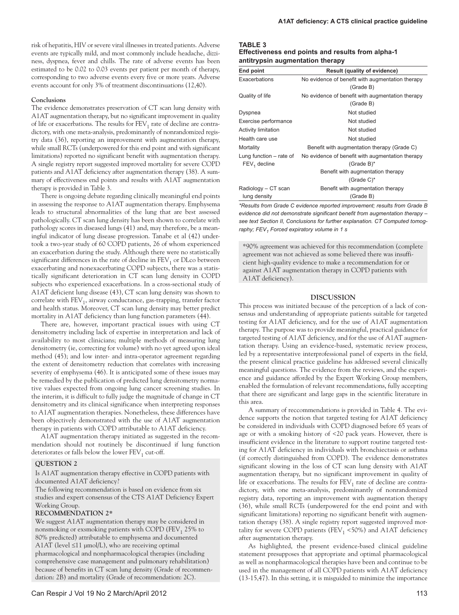risk of hepatitis, HIV or severe viral illnesses in treated patients. Adverse events are typically mild, and most commonly include headache, dizziness, dyspnea, fever and chills. The rate of adverse events has been estimated to be 0.02 to 0.03 events per patient per month of therapy, corresponding to two adverse events every five or more years. Adverse events account for only 3% of treatment discontinuations (12,40).

## **Conclusions**

The evidence demonstrates preservation of CT scan lung density with A1AT augmentation therapy, but no significant improvement in quality of life or exacerbations. The results for  $\text{FEV}_1$  rate of decline are contradictory, with one meta-analysis, predominantly of nonrandomized registry data (36), reporting an improvement with augmentation therapy, while small RCTs (underpowered for this end point and with significant limitations) reported no significant benefit with augmentation therapy. A single registry report suggested improved mortality for severe COPD patients and A1AT deficiency after augmentation therapy (38). A summary of effectiveness end points and results with A1AT augmentation therapy is provided in Table 3.

There is ongoing debate regarding clinically meaningful end points in assessing the response to A1AT augmentation therapy. Emphysema leads to structural abnormalities of the lung that are best assessed pathologically. CT scan lung density has been shown to correlate with pathology scores in diseased lungs (41) and, may therefore, be a meaningful indicator of lung disease progression. Tanabe et al (42) undertook a two-year study of 60 COPD patients, 26 of whom experienced an exacerbation during the study. Although there were no statistically significant differences in the rate of decline in  $\text{FEV}_1$  or DLco between exacerbating and nonexacerbating COPD subjects, there was a statistically significant deterioration in CT scan lung density in COPD subjects who experienced exacerbations. In a cross-sectional study of A1AT deficient lung disease (43), CT scan lung density was shown to correlate with  $FEV<sub>1</sub>$ , airway conductance, gas-trapping, transfer factor and health status. Moreover, CT scan lung density may better predict mortality in A1AT deficiency than lung function parameters (44).

There are, however, important practical issues with using CT densitometry including lack of expertise in interpretation and lack of availability to most clinicians; multiple methods of measuring lung densitometry (ie, correcting for volume) with no yet agreed upon ideal method (45); and low inter- and intra-operator agreement regarding the extent of densitometry reduction that correlates with increasing severity of emphysema (46). It is anticipated some of these issues may be remedied by the publication of predicted lung densitometry normative values expected from ongoing lung cancer screening studies. In the interim, it is difficult to fully judge the magnitude of change in CT densitometry and its clinical significance when interpreting responses to A1AT augmentation therapies. Nonetheless, these differences have been objectively demonstrated with the use of A1AT augmentation therapy in patients with COPD attributable to A1AT deficiency.

A1AT augmentation therapy initiated as suggested in the recommendation should not routinely be discontinued if lung function deteriorates or falls below the lower  $FEV<sub>1</sub>$  cut-off.

# **QUESTION 2**

Is A1AT augmentation therapy effective in COPD patients with documented A1AT deficiency?

The following recommendation is based on evidence from six studies and expert consensus of the CTS A1AT Deficiency Expert Working Group.

# **RECOMMENDATION 2\***

We suggest A1AT augmentation therapy may be considered in nonsmoking or exsmoking patients with COPD ( $FEV<sub>1</sub> 25%$  to 80% predicted) attributable to emphysema and documented A1AT (level  $\leq$ 11 µmol/L), who are receiving optimal pharmacological and nonpharmacological therapies (including comprehensive case management and pulmonary rehabilitation) because of benefits in CT scan lung density (Grade of recommendation: 2B) and mortality (Grade of recommendation: 2C).

## **TABLE 3**

| Effectiveness end points and results from alpha-1 |  |
|---------------------------------------------------|--|
| antitrypsin augmentation therapy                  |  |

| End point                  | <b>Result (quality of evidence)</b>              |  |
|----------------------------|--------------------------------------------------|--|
| Exacerbations              | No evidence of benefit with augmentation therapy |  |
|                            | (Grade B)                                        |  |
| Quality of life            | No evidence of benefit with augmentation therapy |  |
|                            | (Grade B)                                        |  |
| Dyspnea                    | Not studied                                      |  |
| Exercise performance       | Not studied                                      |  |
| <b>Activity limitation</b> | Not studied                                      |  |
| Health care use            | Not studied                                      |  |
| Mortality                  | Benefit with augmentation therapy (Grade C)      |  |
| Lung function – rate of    | No evidence of benefit with augmentation therapy |  |
| $FEV1$ decline             | (Grade $B$ )*                                    |  |
|                            | Benefit with augmentation therapy                |  |
|                            | (Grade $C$ )*                                    |  |
| Radiology - CT scan        | Benefit with augmentation therapy                |  |
| lung density               | (Grade B)                                        |  |

*\*Results from Grade C evidence reported improvement; results from Grade B evidence did not demonstrate significant benefit from augmentation therapy – see text Section II, Conclusions for further explanation. CT Computed tomog*raphy; FEV<sub>1</sub> Forced expiratory volume in 1 s

\*90% agreement was achieved for this recommendation (complete agreement was not achieved as some believed there was insufficient high-quality evidence to make a recommendation for or against A1AT augmentation therapy in COPD patients with A1AT deficiency).

## **DISCUSSION**

This process was initiated because of the perception of a lack of consensus and understanding of appropriate patients suitable for targeted testing for A1AT deficiency, and for the use of A1AT augmentation therapy. The purpose was to provide meaningful, practical guidance for targeted testing of A1AT deficiency, and for the use of A1AT augmentation therapy. Using an evidence-based, systematic review process, led by a representative interprofessional panel of experts in the field, the present clinical practice guideline has addressed several clinically meaningful questions. The evidence from the reviews, and the experience and guidance afforded by the Expert Working Group members, enabled the formulation of relevant recommendations, fully accepting that there are significant and large gaps in the scientific literature in this area.

A summary of reccommendations is provided in Table 4. The evidence supports the notion that targeted testing for A1AT deficiency be considered in individuals with COPD diagnosed before 65 years of age or with a smoking history of <20 pack years. However, there is insufficient evidence in the literature to support routine targeted testing for A1AT deficiency in individuals with bronchiectasis or asthma (if correctly distinguished from COPD). The evidence demonstrates significant slowing in the loss of CT scan lung density with A1AT augmentation therapy, but no significant improvement in quality of life or exacerbations. The results for  $\text{FEV}_1$  rate of decline are contradictory, with one meta-analysis, predominantly of nonrandomized registry data, reporting an improvement with augmentation therapy (36), while small RCTs (underpowered for the end point and with significant limitations) reporting no significant benefit with augmentation therapy (38). A single registry report suggested improved mortality for severe COPD patients (FEV<sub>1</sub> <50%) and A1AT deficiency after augmentation therapy.

As highlighted, the present evidence-based clinical guideline statement presupposes that appropriate and optimal pharmacological as well as nonpharmacological therapies have been and continue to be used in the management of all COPD patients with A1AT deficiency (13-15,47). In this setting, it is misguided to minimize the importance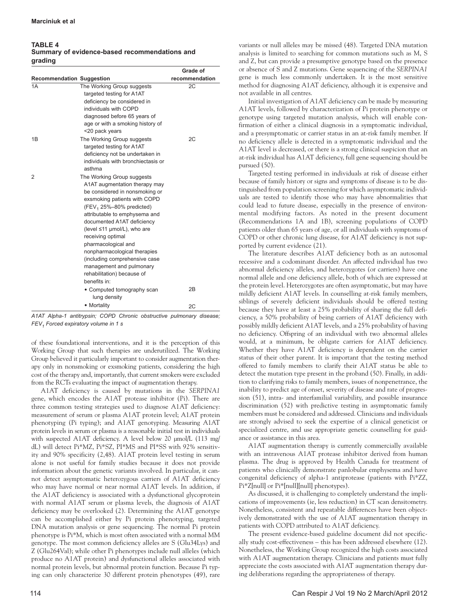# **TABLE 4 Summary of evidence-based recommendations and grading**

|                                  |                                                                                                                                                                                                                                                                                                                                                                                                                                                                  | Grade of       |
|----------------------------------|------------------------------------------------------------------------------------------------------------------------------------------------------------------------------------------------------------------------------------------------------------------------------------------------------------------------------------------------------------------------------------------------------------------------------------------------------------------|----------------|
| <b>Recommendation Suggestion</b> |                                                                                                                                                                                                                                                                                                                                                                                                                                                                  | recommendation |
| 1A                               | The Working Group suggests<br>targeted testing for A1AT<br>deficiency be considered in<br>individuals with COPD<br>diagnosed before 65 years of<br>age or with a smoking history of<br><20 pack years                                                                                                                                                                                                                                                            | 2C             |
| 1B                               | The Working Group suggests<br>targeted testing for A1AT<br>deficiency not be undertaken in<br>individuals with bronchiectasis or<br>asthma                                                                                                                                                                                                                                                                                                                       | 2C             |
| $\overline{2}$                   | The Working Group suggests<br>A1AT augmentation therapy may<br>be considered in nonsmoking or<br>exsmoking patients with COPD<br>(FEV <sub>1</sub> 25%-80% predicted)<br>attributable to emphysema and<br>documented A1AT deficiency<br>(level $\leq$ 11 µmol/L), who are<br>receiving optimal<br>pharmacological and<br>nonpharmacological therapies<br>(including comprehensive case<br>management and pulmonary<br>rehabilitation) because of<br>henefits in: |                |
|                                  | • Computed tomography scan<br>lung density                                                                                                                                                                                                                                                                                                                                                                                                                       | 2B             |
|                                  | • Mortality                                                                                                                                                                                                                                                                                                                                                                                                                                                      | 2C             |

*A1AT Alpha-1 antitrypsin; COPD Chronic obstructive pulmonary disease; FEV1 Forced expiratory volume in 1 s* 

of these foundational interventions, and it is the perception of this Working Group that such therapies are underutilized. The Working Group believed it particularly important to consider augmentation therapy only in nonsmoking or exsmoking patients, considering the high cost of the therapy and, importantly, that current smokers were excluded from the RCTs evaluating the impact of augmentation therapy.

A1AT deficiency is caused by mutations in the *SERPINA1* gene, which encodes the A1AT protease inhibitor (Pi). There are three common testing strategies used to diagnose A1AT deficiency: measurement of serum or plasma A1AT protein level; A1AT protein phenotyping (Pi typing); and A1AT genotyping. Measuring A1AT protein levels in serum or plasma is a reasonable initial test in individuals with suspected A1AT deficiency. A level below 20  $\mu$ mol/L (113 mg/ dL) will detect Pi\*MZ, Pi\*SZ, PI\*MS and PI\*SS with 92% sensitivity and 90% specificity (2,48). A1AT protein level testing in serum alone is not useful for family studies because it does not provide information about the genetic variants involved. In particular, it cannot detect asymptomatic heterozygous carriers of A1AT deficiency who may have normal or near normal A1AT levels. In addition, if the A1AT deficiency is associated with a dysfunctional glycoprotein with normal A1AT serum or plasma levels, the diagnosis of A1AT deficiency may be overlooked (2). Determining the A1AT genotype can be accomplished either by Pi protein phenotyping, targeted DNA mutation analysis or gene sequencing. The normal Pi protein phenotype is Pi\*M, which is most often associated with a normal MM genotype. The most common deficiency alleles are S (Glu34Lys) and Z (Glu264Val); while other Pi phenotypes include null alleles (which produce no A1AT protein) and dysfunctional alleles associated with normal protein levels, but abnormal protein function. Because Pi typing can only characterize 30 different protein phenotypes (49), rare

variants or null alleles may be missed (48). Targeted DNA mutation analysis is limited to searching for common mutations such as M, S and Z, but can provide a presumptive genotype based on the presence or absence of S and Z mutations. Gene sequencing of the *SERPINA1* gene is much less commonly undertaken. It is the most sensitive method for diagnosing A1AT deficiency, although it is expensive and not available in all centres.

Initial investigation of A1AT deficiency can be made by measuring A1AT levels, followed by characterization of Pi protein phenotype or genotype using targeted mutation analysis, which will enable confirmation of either a clinical diagnosis in a symptomatic individual, and a presymptomatic or carrier status in an at-risk family member. If no deficiency allele is detected in a symptomatic individual and the A1AT level is decreased, or there is a strong clinical suspicion that an at-risk individual has A1AT deficiency, full gene sequencing should be pursued (50).

Targeted testing performed in individuals at risk of disease either because of family history or signs and symptoms of disease is to be distinguished from population screening for which asymptomatic individuals are tested to identify those who may have abnormalities that could lead to future disease, especially in the presence of environmental modifying factors. As noted in the present document (Recommendations 1A and 1B), screening populations of COPD patients older than 65 years of age, or all individuals with symptoms of COPD or other chronic lung disease, for A1AT deficiency is not supported by current evidence (21).

The literature describes A1AT deficiency both as an autosomal recessive and a codominant disorder. An affected individual has two abnormal deficiency alleles, and heterozygotes (or carriers) have one normal allele and one deficiency allele, both of which are expressed at the protein level. Heterozygotes are often asymptomatic, but may have mildly deficient A1AT levels. In counselling at-risk family members, siblings of severely deficient individuals should be offered testing because they have at least a 25% probability of sharing the full deficiency, a 50% probability of being carriers of A1AT deficiency with possibly mildly deficient A1AT levels, and a 25% probability of having no deficiency. Offspring of an individual with two abnormal alleles would, at a minimum, be obligate carriers for A1AT deficiency. Whether they have A1AT deficiency is dependent on the carrier status of their other parent. It is important that the testing method offered to family members to clarify their A1AT status be able to detect the mutation type present in the proband (50). Finally, in addition to clarifying risks to family members, issues of nonpenetrance, the inability to predict age of onset, severity of disease and rate of progression (51), intra- and interfamilial variability, and possible insurance discrimination (52) with predictive testing in asymptomatic family members must be considered and addressed. Clinicians and individuals are strongly advised to seek the expertise of a clinical geneticist or specialized centre, and use appropriate genetic counselling for guidance or assistance in this area.

A1AT augmentation therapy is currently commercially available with an intravenous A1AT protease inhibitor derived from human plasma. The drug is approved by Health Canada for treatment of patients who clinically demonstrate panlobular emphysema and have congenital deficiency of alpha-1 antiprotease (patients with Pi\*ZZ, Pi\*Z[null] or Pi\*[null][null] phenotypes).

As discussed, it is challenging to completely understand the implications of improvements (ie, less reduction) in CT scan densitometry. Nonetheless, consistent and repeatable differences have been objectively demonstrated with the use of A1AT augmentation therapy in patients with COPD attributed to A1AT deficiency.

The present evidence-based guideline document did not specifically study cost-effectiveness – this has been addressed elsewhere (12). Nonetheless, the Working Group recognized the high costs associated with A1AT augmentation therapy. Clinicians and patients must fully appreciate the costs associated with A1AT augmentation therapy during deliberations regarding the appropriateness of therapy.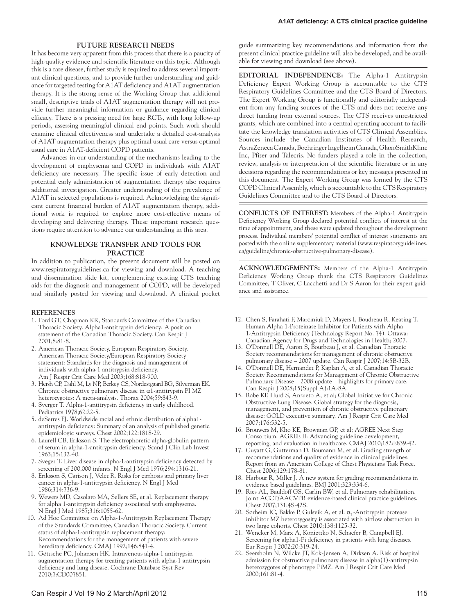# **FUTURE RESEARCH NEEDS**

It has become very apparent from this process that there is a paucity of high-quality evidence and scientific literature on this topic. Although this is a rare disease, further study is required to address several important clinical questions, and to provide further understanding and guidance for targeted testing for A1AT deficiency and A1AT augmentation therapy. It is the strong sense of the Working Group that additional small, descriptive trials of A1AT augmentation therapy will not provide further meaningful information or guidance regarding clinical efficacy. There is a pressing need for large RCTs, with long follow-up periods, assessing meaningful clinical end points. Such work should examine clinical effectiveness and undertake a detailed cost-analysis of A1AT augmentation therapy plus optimal usual care versus optimal usual care in A1AT-deficient COPD patients.

Advances in our understanding of the mechanisms leading to the development of emphysema and COPD in individuals with A1AT deficiency are necessary. The specific issue of early detection and potential early administration of augmentation therapy also requires additional investigation. Greater understanding of the prevalence of A1AT in selected populations is required. Acknowledging the significant current financial burden of A1AT augmentation therapy, additional work is required to explore more cost-effective means of developing and delivering therapy. These important research questions require attention to advance our understanding in this area.

# **KNOWLEDGE TRANSFER AND TOOLS FOR PRACTICE**

In addition to publication, the present document will be posted on www.respiratoryguidelines.ca for viewing and download. A teaching and dissemination slide kit, complementing existing CTS teaching aids for the diagnosis and management of COPD, will be developed and similarly posted for viewing and download. A clinical pocket

## **REFERENCES**

- 1. Ford GT, Chapman KR, Standards Committee of the Canadian Thoracic Society. Alpha1-antitrypsin deficiency: A position statement of the Canadian Thoracic Society. Can Respir J 2001;8:81-8.
- 2. American Thoracic Society, European Respiratory Society. American Thoracic Society/European Respiratory Society statement: Standards for the diagnosis and management of individuals with alpha-1 antitrypsin deficiency. Am J Respir Crit Care Med 2003;168:818-900.
- 3. Hersh CP, Dahl M, Ly NP, Berkey CS, Nordestgaard BG, Silverman EK. Chronic obstructive pulmonary disease in  $\alpha$ 1-antitrypsin PI MZ heterozygotes: A meta-analysis. Thorax 2004;59:843-9.
- 4. Sverger T. Alpha-1-antitrypsin deficiency in early childhood. Pediatrics 1978;62:22-5.
- 5. deSerres FJ. Worldwide racial and ethnic distribution of alpha1 antitrypsin deficiency: Summary of an analysis of published genetic epidemiologic surveys. Chest 2002;122:1818-29.
- 6. Laurell CB, Eriksson S. The electrophoretic alpha-globulin pattern of serum in alpha-1-antitrypsin deficiency. Scand J Clin Lab Invest 1963;15:132-40.
- 7. Sveger T. Liver disease in alpha-1-antitrypsin deficiency detected by screening of 200,000 infants. N Engl J Med 1976;294:1316-21.
- 8. Eriksson S, Carison J, Velez R. Risks for cirrhosis and primary liver cancer in alpha-1-antitrypsin deficiency. N Engl J Med 1986;314:736-9.
- 9. Wewers MD, Casolaro MA, Sellers SE, et al. Replacement therapy for alpha 1-antitrypsin deficiency associated with emphysema. N Engl J Med 1987;316:1055-62.
- 10. Ad Hoc Committee on Alpha-1-Antitrypsin Replacement Therapy of the Standards Committee, Canadian Thoracic Society. Current status of alpha-1-antitrypsin replacement therapy: Recommendations for the management of patients with severe hereditary deficiency. CMAJ 1992;146:841-4.
- 11. Gøtzsche PC, Johansen HK. Intravenous alpha-1 antitrypsin augmentation therapy for treating patients with alpha-1 antitrypsin deficiency and lung disease. Cochrane Database Syst Rev 2010;7:CD007851.

guide summarizing key recommendations and information from the present clinical practice guideline will also be developed, and be available for viewing and download (see above).

**EDITORIAL INDEPENDENCE:** The Alpha-1 Antitrypsin Deficiency Expert Working Group is accountable to the CTS Respiratory Guidelines Committee and the CTS Board of Directors. The Expert Working Group is functionally and editorially independent from any funding sources of the CTS and does not receive any direct funding from external sources. The CTS receives unrestricted grants, which are combined into a central operating account to facilitate the knowledge translation activities of CTS Clinical Assemblies. Sources include the Canadian Institutes of Health Research, AstraZeneca Canada, Boehringer Ingelheim Canada, GlaxoSmithKline Inc, Pfizer and Talecris. No funders played a role in the collection, review, analysis or interpretation of the scientific literature or in any decisions regarding the recommendations or key messages presented in this document. The Expert Working Group was formed by the CTS COPD Clinical Assembly, which is accountable to the CTS Respiratory Guidelines Committee and to the CTS Board of Directors.

**CONFLICTS OF INTEREST:** Members of the Alpha-1 Antitrypsin Deficiency Working Group declared potential conflicts of interest at the time of appointment, and these were updated throughout the development process. Individual members' potential conflict of interest statements are posted with the online supplementary material (www.respiratoryguidelines. ca/guideline/chronic-obstructive-pulmonary-disease).

**ACKNOWLEDGEMENTS:** Members of the Alpha-1 Antitrypsin Deficiency Working Group thank the CTS Respiratory Guidelines Committee, T Oliver, C Lacchetti and Dr S Aaron for their expert guidance and assistance.

- 12. Chen S, Farahati F, Marciniuk D, Mayers I, Boudreau R, Keating T. Human Alpha 1-Proteinase Inhibitor for Patients with Alpha 1-Antitrypsin Deficiency (Technology Report No. 74). Ottawa: Canadian Agency for Drugs and Technologies in Health; 2007.
- 13. O'Donnell DE, Aaron S, Bourbeau J, et al. Canadian Thoracic Society recommendations for management of chronic obstructive pulmonary disease – 2007 update. Can Respir J 2007;14:5B-32B.
- 14. O'Donnell DE, Hernandez P, Kaplan A, et al. Canadian Thoracic Society Recommendations for Management of Chronic Obstructive Pulmonary Disease – 2008 update – highlights for primary care. Can Respir J 2008;15(Suppl A):1A-8A.
- 15. Rabe KF, Hurd S, Anzueto A, et al; Global Initiative for Chronic Obstructive Lung Disease. Global strategy for the diagnosis, management, and prevention of chronic obstructive pulmonary disease: GOLD executive summary. Am J Respir Crit Care Med 2007;176:532-5.
- 16. Brouwers M, Kho KE, Browman GP, et al; AGREE Next Step Consortium. AGREE II: Advancing guideline development, reporting, and evaluation in healthcare. CMAJ 2010;182:E839-42.
- 17. Guyatt G, Gutterman D, Baumann M, et al. Grading strength of recommendations and quality of evidence in clinical guidelines: Report from an American College of Chest Physicians Task Force. Chest 2006;129:178-81.
- 18. Harbour R, Miller J. A new system for grading recommendations in evidence based guidelines. BMJ 2001;323:334-6.
- 19. Ries AL, Bauldoff GS, Carlin BW, et al. Pulmonary rehabilitation. Joint ACCP/AACVPR evidence-based clinical practice guidelines. Chest 2007;131:4S-42S.
- 20. Sørheim IC, Bakke P, Gulsvik A, et al.  $\alpha_1$ -Antitrypsin protease inhibitor MZ heterozygosity is associated with airflow obstruction in two large cohorts. Chest 2010;138:1125-32.
- 21. Wencker M, Marx A, Konietzko N, Schaefer B, Campbell EJ. Screening for alpha1-Pi deficiency in patients with lung diseases. Eur Respir J 2002;20:319-24.
- 22. Seersholm N, Wilcke JT, Kok-Jensen A, Dirksen A. Risk of hospital admission for obstructive pulmonary disease in alpha(1)-antitrypsin heterozygotes of phenotype PiMZ. Am J Respir Crit Care Med 2000;161:81-4.